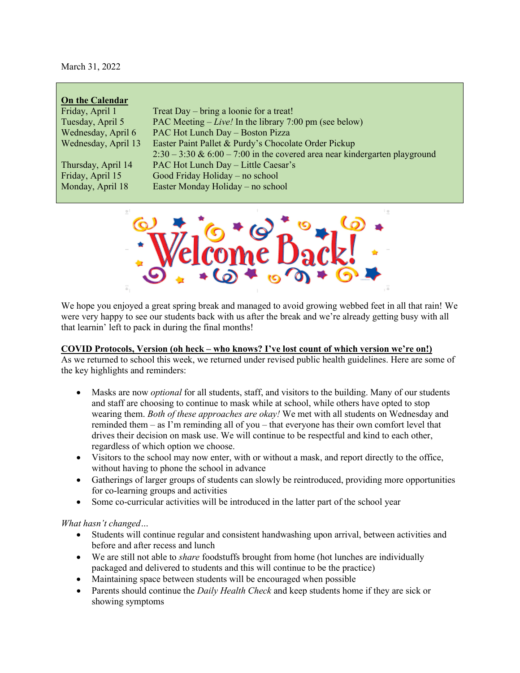March 31, 2022

| <b>On the Calendar</b> |                                                                              |
|------------------------|------------------------------------------------------------------------------|
| Friday, April 1        | Treat Day – bring a loonie for a treat!                                      |
| Tuesday, April 5       | PAC Meeting $-Live!$ In the library 7:00 pm (see below)                      |
| Wednesday, April 6     | PAC Hot Lunch Day - Boston Pizza                                             |
| Wednesday, April 13    | Easter Paint Pallet & Purdy's Chocolate Order Pickup                         |
|                        | $2:30 - 3:30$ & 6:00 - 7:00 in the covered area near kindergarten playground |
| Thursday, April 14     | PAC Hot Lunch Day - Little Caesar's                                          |
| Friday, April 15       | Good Friday Holiday – no school                                              |
| Monday, April 18       | Easter Monday Holiday – no school                                            |



We hope you enjoyed a great spring break and managed to avoid growing webbed feet in all that rain! We were very happy to see our students back with us after the break and we're already getting busy with all that learnin' left to pack in during the final months!

### **COVID Protocols, Version (oh heck – who knows? I've lost count of which version we're on!)**

As we returned to school this week, we returned under revised public health guidelines. Here are some of the key highlights and reminders:

- Masks are now *optional* for all students, staff, and visitors to the building. Many of our students and staff are choosing to continue to mask while at school, while others have opted to stop wearing them. *Both of these approaches are okay!* We met with all students on Wednesday and reminded them – as I'm reminding all of you – that everyone has their own comfort level that drives their decision on mask use. We will continue to be respectful and kind to each other, regardless of which option we choose.
- Visitors to the school may now enter, with or without a mask, and report directly to the office, without having to phone the school in advance
- Gatherings of larger groups of students can slowly be reintroduced, providing more opportunities for co-learning groups and activities
- Some co-curricular activities will be introduced in the latter part of the school year

*What hasn't changed…*

- Students will continue regular and consistent handwashing upon arrival, between activities and before and after recess and lunch
- We are still not able to *share* foodstuffs brought from home (hot lunches are individually packaged and delivered to students and this will continue to be the practice)
- Maintaining space between students will be encouraged when possible
- Parents should continue the *Daily Health Check* and keep students home if they are sick or showing symptoms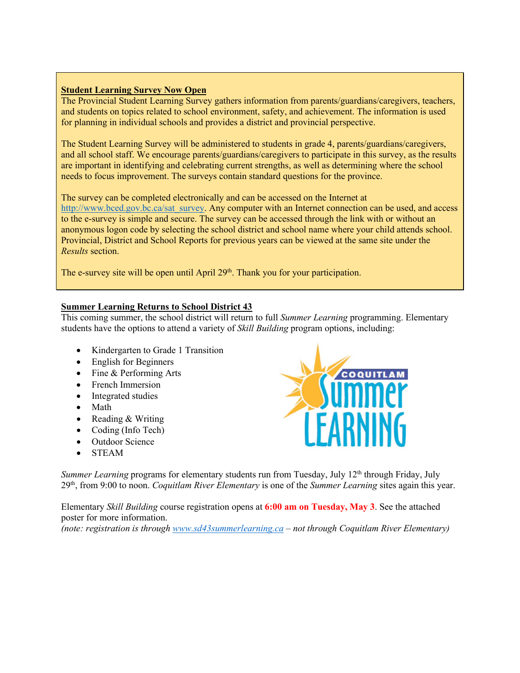### **Student Learning Survey Now Open**

The Provincial Student Learning Survey gathers information from parents/guardians/caregivers, teachers, and students on topics related to school environment, safety, and achievement. The information is used for planning in individual schools and provides a district and provincial perspective.

The Student Learning Survey will be administered to students in grade 4, parents/guardians/caregivers, and all school staff. We encourage parents/guardians/caregivers to participate in this survey, as the results are important in identifying and celebrating current strengths, as well as determining where the school needs to focus improvement. The surveys contain standard questions for the province.

The survey can be completed electronically and can be accessed on the Internet at [http://www.bced.gov.bc.ca/sat\\_survey.](http://www.bced.gov.bc.ca/sat_survey) Any computer with an Internet connection can be used, and access to the e-survey is simple and secure. The survey can be accessed through the link with or without an anonymous logon code by selecting the school district and school name where your child attends school. Provincial, District and School Reports for previous years can be viewed at the same site under the *Results* section.

The e-survey site will be open until April 29<sup>th</sup>. Thank you for your participation.

### **Summer Learning Returns to School District 43**

This coming summer, the school district will return to full *Summer Learning* programming. Elementary students have the options to attend a variety of *Skill Building* program options, including:

- Kindergarten to Grade 1 Transition
- English for Beginners
- Fine & Performing Arts
- French Immersion
- Integrated studies
- Math
- Reading & Writing
- Coding (Info Tech)
- Outdoor Science
- STEAM



*Summer Learning* programs for elementary students run from Tuesday, July 12<sup>th</sup> through Friday, July 29th, from 9:00 to noon. *Coquitlam River Elementary* is one of the *Summer Learning* sites again this year.

Elementary *Skill Building* course registration opens at **6:00 am on Tuesday, May 3**. See the attached poster for more information.

*(note: registration is through [www.sd43summerlearning.ca](http://www.sd43summerlearning.ca/) – not through Coquitlam River Elementary)*